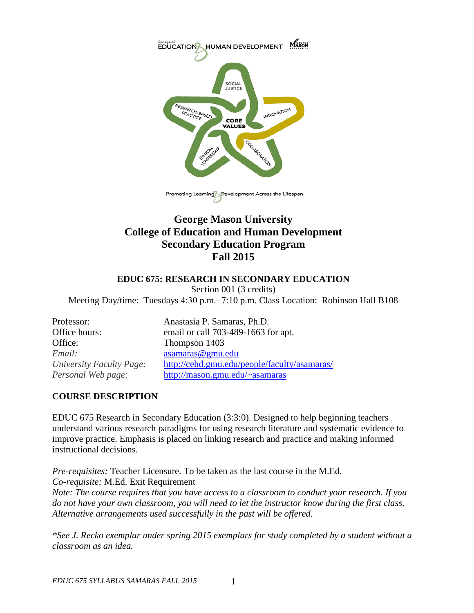

# **George Mason University College of Education and Human Development Secondary Education Program Fall 2015**

#### **EDUC 675: RESEARCH IN SECONDARY EDUCATION**

Section 001 (3 credits)

Meeting Day/time: Tuesdays 4:30 p.m.−7:10 p.m. Class Location: Robinson Hall B108

Office: Thompson 1403 *Email:* [asamaras@gmu.edu](mailto:asamaras@gmu.edu)

Professor: Anastasia P. Samaras, Ph.D. Office hours: email or call 703-489-1663 for apt. *University Faculty Page:* <http://cehd.gmu.edu/people/faculty/asamaras/> *Personal Web page:* [http://mason.gmu.edu/~asamaras](http://mason.gmu.edu/%7Easamaras)

## **COURSE DESCRIPTION**

EDUC 675 Research in Secondary Education (3:3:0). Designed to help beginning teachers understand various research paradigms for using research literature and systematic evidence to improve practice. Emphasis is placed on linking research and practice and making informed instructional decisions.

*Pre-requisites:* Teacher Licensure. To be taken as the last course in the M.Ed. *Co-requisite:* M.Ed. Exit Requirement

*Note: The course requires that you have access to a classroom to conduct your research. If you do not have your own classroom, you will need to let the instructor know during the first class. Alternative arrangements used successfully in the past will be offered.*

*\*See J. Recko exemplar under spring 2015 exemplars for study completed by a student without a classroom as an idea.*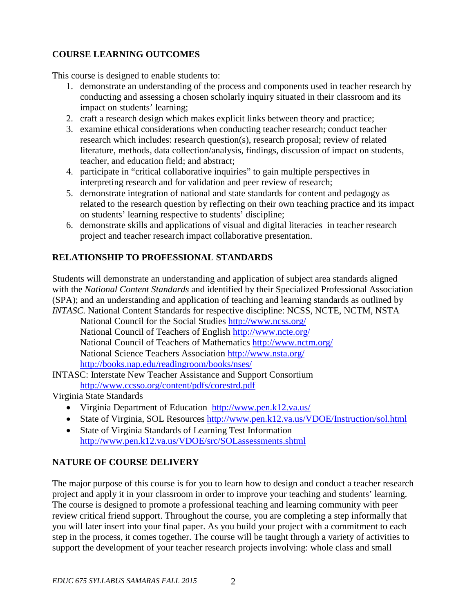# **COURSE LEARNING OUTCOMES**

This course is designed to enable students to:

- 1. demonstrate an understanding of the process and components used in teacher research by conducting and assessing a chosen scholarly inquiry situated in their classroom and its impact on students' learning;
- 2. craft a research design which makes explicit links between theory and practice;
- 3. examine ethical considerations when conducting teacher research; conduct teacher research which includes: research question(s), research proposal; review of related literature, methods, data collection/analysis, findings, discussion of impact on students, teacher, and education field; and abstract;
- 4. participate in "critical collaborative inquiries" to gain multiple perspectives in interpreting research and for validation and peer review of research;
- 5. demonstrate integration of national and state standards for content and pedagogy as related to the research question by reflecting on their own teaching practice and its impact on students' learning respective to students' discipline;
- 6. demonstrate skills and applications of visual and digital literacies in teacher research project and teacher research impact collaborative presentation.

# **RELATIONSHIP TO PROFESSIONAL STANDARDS**

Students will demonstrate an understanding and application of subject area standards aligned with the *National Content Standards* and identified by their Specialized Professional Association (SPA); and an understanding and application of teaching and learning standards as outlined by *INTASC.* National Content Standards for respective discipline: NCSS, NCTE, NCTM, NSTA

National Council for the Social Studies<http://www.ncss.org/> National Council of Teachers of English<http://www.ncte.org/> National Council of Teachers of Mathematics<http://www.nctm.org/> National Science Teachers Association<http://www.nsta.org/> <http://books.nap.edu/readingroom/books/nses/>

[INTASC: Interstate New Teacher Assistance and Support Consortium](http://www.ccsso.org/content/pdfs/corestrd.pdf) <http://www.ccsso.org/content/pdfs/corestrd.pdf>

Virginia State Standards

- [Virginia Department of Education http://www.pen.k12.va.us/](http://www.pen.k12.va.us/)
- State of Virginia, SOL Resources<http://www.pen.k12.va.us/VDOE/Instruction/sol.html>
- State of Virginia Standards of Learning Test Information <http://www.pen.k12.va.us/VDOE/src/SOLassessments.shtml>

# **NATURE OF COURSE DELIVERY**

The major purpose of this course is for you to learn how to design and conduct a teacher research project and apply it in your classroom in order to improve your teaching and students' learning. The course is designed to promote a professional teaching and learning community with peer review critical friend support. Throughout the course, you are completing a step informally that you will later insert into your final paper. As you build your project with a commitment to each step in the process, it comes together. The course will be taught through a variety of activities to support the development of your teacher research projects involving: whole class and small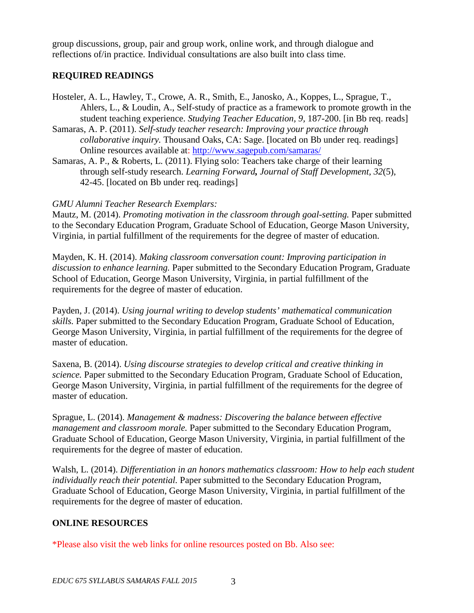group discussions, group, pair and group work, online work, and through dialogue and reflections of/in practice. Individual consultations are also built into class time.

## **REQUIRED READINGS**

- Hosteler, A. L., Hawley, T., Crowe, A. R., Smith, E., Janosko, A., Koppes, L., Sprague, T., Ahlers, L., & Loudin, A., Self-study of practice as a framework to promote growth in the student teaching experience. *Studying Teacher Education, 9,* 187-200. [in Bb req. reads]
- Samaras, A. P. (2011). *Self-study teacher research: Improving your practice through collaborative inquiry.* Thousand Oaks, CA: Sage. [located on Bb under req. readings] Online resources available at:<http://www.sagepub.com/samaras/>
- Samaras, A. P., & Roberts, L. (2011). Flying solo: Teachers take charge of their learning through self-study research. *Learning Forward, Journal of Staff Development, 32*(5), 42-45. [located on Bb under req. readings]

## *GMU Alumni Teacher Research Exemplars:*

Mautz, M. (2014). *Promoting motivation in the classroom through goal-setting.* Paper submitted to the Secondary Education Program, Graduate School of Education, George Mason University, Virginia, in partial fulfillment of the requirements for the degree of master of education.

Mayden, K. H. (2014). *Making classroom conversation count: Improving participation in discussion to enhance learning.* Paper submitted to the Secondary Education Program, Graduate School of Education, George Mason University, Virginia, in partial fulfillment of the requirements for the degree of master of education.

Payden, J. (2014). *Using journal writing to develop students' mathematical communication skills.* Paper submitted to the Secondary Education Program, Graduate School of Education, George Mason University, Virginia, in partial fulfillment of the requirements for the degree of master of education.

Saxena, B. (2014). *Using discourse strategies to develop critical and creative thinking in science.* Paper submitted to the Secondary Education Program, Graduate School of Education, George Mason University, Virginia, in partial fulfillment of the requirements for the degree of master of education.

Sprague, L. (2014). *Management & madness: Discovering the balance between effective management and classroom morale.* Paper submitted to the Secondary Education Program, Graduate School of Education, George Mason University, Virginia, in partial fulfillment of the requirements for the degree of master of education.

Walsh, L. (2014). *Differentiation in an honors mathematics classroom: How to help each student individually reach their potential.* Paper submitted to the Secondary Education Program, Graduate School of Education, George Mason University, Virginia, in partial fulfillment of the requirements for the degree of master of education.

## **ONLINE RESOURCES**

\*Please also visit the web links for online resources posted on Bb. Also see: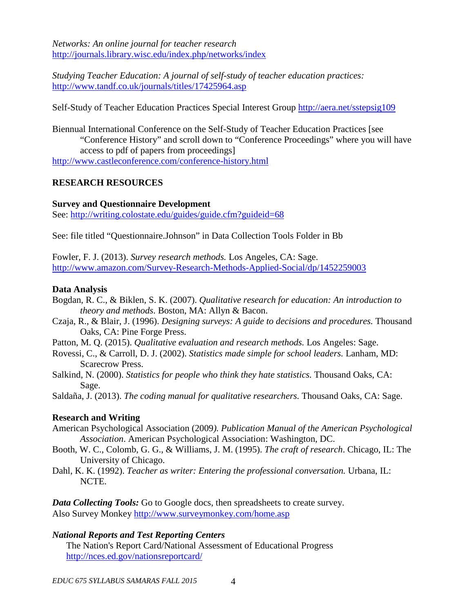*Networks: An online journal for teacher research* <http://journals.library.wisc.edu/index.php/networks/index>

*Studying Teacher Education: A journal of self-study of teacher education practices:*  <http://www.tandf.co.uk/journals/titles/17425964.asp>

Self-Study of Teacher Education Practices Special Interest Group<http://aera.net/sstepsig109>

Biennual International Conference on the Self-Study of Teacher Education Practices [see "Conference History" and scroll down to "Conference Proceedings" where you will have access to pdf of papers from proceedings] <http://www.castleconference.com/conference-history.html>

### **RESEARCH RESOURCES**

**Survey and Questionnaire Development**

See:<http://writing.colostate.edu/guides/guide.cfm?guideid=68>

See: file titled "Questionnaire.Johnson" in Data Collection Tools Folder in Bb

Fowler, F. J. (2013). *Survey research methods.* Los Angeles, CA: Sage. <http://www.amazon.com/Survey-Research-Methods-Applied-Social/dp/1452259003>

### **Data Analysis**

- Bogdan, R. C., & Biklen, S. K. (2007). *Qualitative research for education: An introduction to theory and methods*. Boston, MA: Allyn & Bacon.
- Czaja, R., & Blair, J. (1996). *Designing surveys: A guide to decisions and procedures.* Thousand Oaks, CA: Pine Forge Press.
- Patton, M. Q. (2015). *Qualitative evaluation and research methods.* Los Angeles: Sage.
- Rovessi, C., & Carroll, D. J. (2002). *Statistics made simple for school leaders.* Lanham, MD: Scarecrow Press.
- Salkind, N. (2000). *Statistics for people who think they hate statistics.* Thousand Oaks, CA: Sage.

Saldaña, J. (2013). *The coding manual for qualitative researchers.* Thousand Oaks, CA: Sage.

## **Research and Writing**

- American Psychological Association (2009*). Publication Manual of the American Psychological Association*. American Psychological Association: Washington, DC.
- Booth, W. C., Colomb, G. G., & Williams, J. M. (1995). *The craft of research*. Chicago, IL: The University of Chicago.
- Dahl, K. K. (1992). *Teacher as writer: Entering the professional conversation*. Urbana, IL: NCTE.

*Data Collecting Tools:* Go to Google docs, then spreadsheets to create survey. Also Survey Monkey<http://www.surveymonkey.com/home.asp>

## *National Reports and Test Reporting Centers*

[The Nation's Report Card/](http://nces.ed.gov/nationsreportcard/)National Assessment of Educational Progress <http://nces.ed.gov/nationsreportcard/>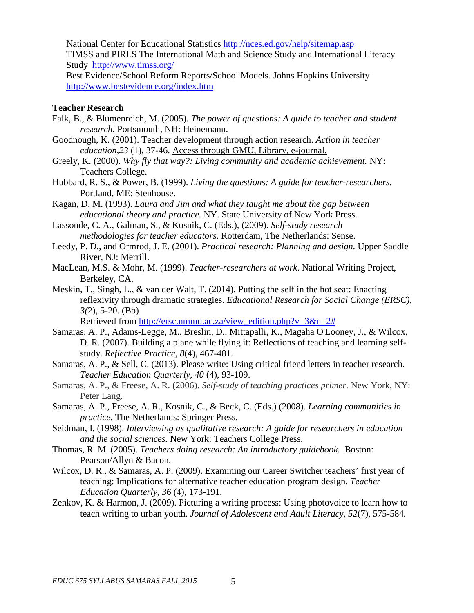National Center for Educational Statistics<http://nces.ed.gov/help/sitemap.asp> TIMSS and PIRLS [The International Math and Science Study](http://www.timss.org/) and International Literacy Study <http://www.timss.org/>

Best Evidence/School Reform Reports/School Models. Johns Hopkins University <http://www.bestevidence.org/index.htm>

#### **Teacher Research**

- Falk, B., & Blumenreich, M. (2005). *The power of questions: A guide to teacher and student research.* Portsmouth, NH: Heinemann.
- Goodnough, K. (2001). Teacher development through action research. *Action in teacher education,23* (1), 37-46. Access through GMU, Library, e-journal.
- Greely, K. (2000). *Why fly that way?: Living community and academic achievement.* NY: Teachers College.
- Hubbard, R. S., & Power, B. (1999). *Living the questions: A guide for teacher-researchers.*  Portland, ME: Stenhouse.
- Kagan, D. M. (1993). *Laura and Jim and what they taught me about the gap between educational theory and practice.* NY. State University of New York Press.
- Lassonde, C. A., Galman, S., & Kosnik, C. (Eds.), (2009). *Self-study research methodologies for teacher educators.* Rotterdam, The Netherlands: Sense.
- Leedy, P. D., and Ormrod, J. E. (2001). *Practical research: Planning and design.* Upper Saddle River, NJ: Merrill.
- MacLean, M.S. & Mohr, M. (1999). *Teacher-researchers at work*. National Writing Project, Berkeley, CA.
- Meskin, T., Singh, L., & van der Walt, T. (2014). Putting the self in the hot seat: Enacting reflexivity through dramatic strategies. *Educational Research for Social Change (ERSC), 3(*2), 5-20. (Bb)

Retrieved from [http://ersc.nmmu.ac.za/view\\_edition.php?v=3&n=2#](http://ersc.nmmu.ac.za/view_edition.php?v=3&n=2)

- Samaras, A. P., Adams-Legge, M., Breslin, D., Mittapalli, K., Magaha O'Looney, J., & Wilcox, D. R. (2007). Building a plane while flying it: Reflections of teaching and learning selfstudy. *Reflective Practice, 8*(4), 467-481.
- Samaras, A. P., & Sell, C. (2013). Please write: Using critical friend letters in teacher research. *Teacher Education Quarterly, 40* (4), 93-109.
- Samaras, A. P., & Freese, A. R. (2006). *Self-study of teaching practices primer.* New York, NY: Peter Lang.
- Samaras, A. P., Freese, A. R., Kosnik, C., & Beck, C. (Eds.) (2008). *Learning communities in practice.* The Netherlands: Springer Press.
- Seidman, I. (1998). *Interviewing as qualitative research: A guide for researchers in education and the social sciences.* New York: Teachers College Press.
- Thomas, R. M. (2005). *Teachers doing research: An introductory guidebook.* Boston: Pearson/Allyn & Bacon.
- Wilcox, D. R., & Samaras, A. P. (2009). Examining our Career Switcher teachers' first year of teaching: Implications for alternative teacher education program design. *Teacher Education Quarterly, 36* (4), 173-191.
- Zenkov, K. & Harmon, J. (2009). Picturing a writing process: Using photovoice to learn how to teach writing to urban youth. *Journal of Adolescent and Adult Literacy, 52*(7), 575-584*.*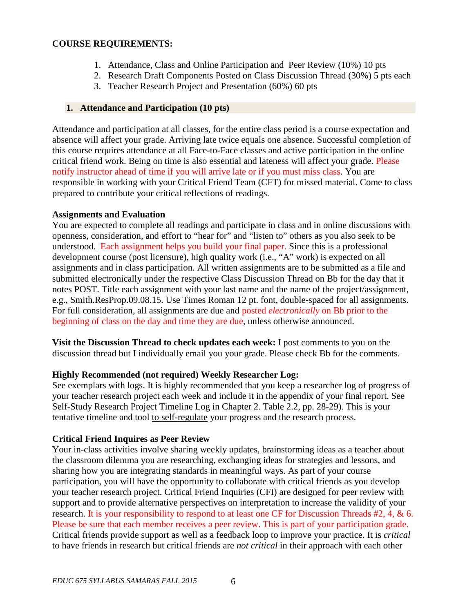#### **COURSE REQUIREMENTS:**

- 1. Attendance, Class and Online Participation and Peer Review (10%) 10 pts
- 2. Research Draft Components Posted on Class Discussion Thread (30%) 5 pts each
- 3. Teacher Research Project and Presentation (60%) 60 pts

#### **1. Attendance and Participation (10 pts)**

Attendance and participation at all classes, for the entire class period is a course expectation and absence will affect your grade. Arriving late twice equals one absence. Successful completion of this course requires attendance at all Face-to-Face classes and active participation in the online critical friend work. Being on time is also essential and lateness will affect your grade. Please notify instructor ahead of time if you will arrive late or if you must miss class. You are responsible in working with your Critical Friend Team (CFT) for missed material. Come to class prepared to contribute your critical reflections of readings.

### **Assignments and Evaluation**

You are expected to complete all readings and participate in class and in online discussions with openness, consideration, and effort to "hear for" and "listen to" others as you also seek to be understood. Each assignment helps you build your final paper. Since this is a professional development course (post licensure), high quality work (i.e., "A" work) is expected on all assignments and in class participation. All written assignments are to be submitted as a file and submitted electronically under the respective Class Discussion Thread on Bb for the day that it notes POST. Title each assignment with your last name and the name of the project/assignment, e.g., Smith.ResProp.09.08.15. Use Times Roman 12 pt. font, double-spaced for all assignments. For full consideration, all assignments are due and posted *electronically* on Bb prior to the beginning of class on the day and time they are due, unless otherwise announced.

**Visit the Discussion Thread to check updates each week:** I post comments to you on the discussion thread but I individually email you your grade. Please check Bb for the comments.

## **Highly Recommended (not required) Weekly Researcher Log:**

See exemplars with logs. It is highly recommended that you keep a researcher log of progress of your teacher research project each week and include it in the appendix of your final report. See Self-Study Research Project Timeline Log in Chapter 2. Table 2.2, pp. 28-29). This is your tentative timeline and tool to self-regulate your progress and the research process.

## **Critical Friend Inquires as Peer Review**

Your in-class activities involve sharing weekly updates, brainstorming ideas as a teacher about the classroom dilemma you are researching, exchanging ideas for strategies and lessons, and sharing how you are integrating standards in meaningful ways. As part of your course participation, you will have the opportunity to collaborate with critical friends as you develop your teacher research project. Critical Friend Inquiries (CFI) are designed for peer review with support and to provide alternative perspectives on interpretation to increase the validity of your research. It is your responsibility to respond to at least one CF for Discussion Threads #2, 4, & 6. Please be sure that each member receives a peer review. This is part of your participation grade. Critical friends provide support as well as a feedback loop to improve your practice. It is *critical* to have friends in research but critical friends are *not critical* in their approach with each other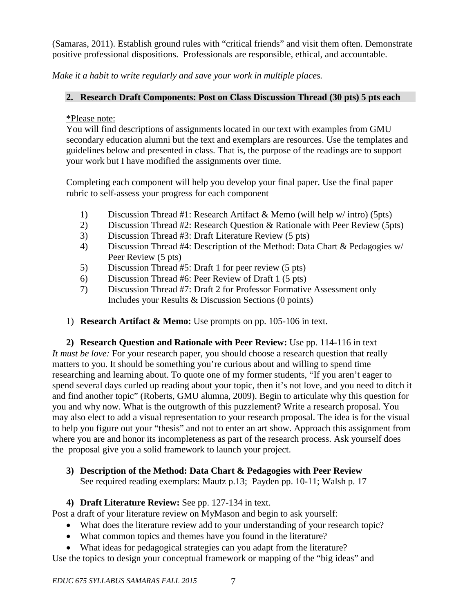(Samaras, 2011). Establish ground rules with "critical friends" and visit them often. Demonstrate positive professional dispositions. Professionals are responsible, ethical, and accountable.

*Make it a habit to write regularly and save your work in multiple places.*

## **2. Research Draft Components: Post on Class Discussion Thread (30 pts) 5 pts each**

## \*Please note:

You will find descriptions of assignments located in our text with examples from GMU secondary education alumni but the text and exemplars are resources. Use the templates and guidelines below and presented in class. That is, the purpose of the readings are to support your work but I have modified the assignments over time.

Completing each component will help you develop your final paper. Use the final paper rubric to self-assess your progress for each component

- 1) Discussion Thread #1: Research Artifact & Memo (will help w/ intro) (5pts)
- 2) Discussion Thread #2: Research Question & Rationale with Peer Review (5pts)
- 3) Discussion Thread #3: Draft Literature Review (5 pts)
- 4) Discussion Thread #4: Description of the Method: Data Chart & Pedagogies w/ Peer Review (5 pts)
- 5) Discussion Thread #5: Draft 1 for peer review (5 pts)
- 6) Discussion Thread #6: Peer Review of Draft 1 (5 pts)
- 7) Discussion Thread #7: Draft 2 for Professor Formative Assessment only Includes your Results & Discussion Sections (0 points)
- 1) **Research Artifact & Memo:** Use prompts on pp. 105-106 in text.

**2) Research Question and Rationale with Peer Review:** Use pp. 114-116 in text *It must be love:* For your research paper, you should choose a research question that really matters to you. It should be something you're curious about and willing to spend time researching and learning about. To quote one of my former students, "If you aren't eager to spend several days curled up reading about your topic, then it's not love, and you need to ditch it and find another topic" (Roberts, GMU alumna, 2009). Begin to articulate why this question for you and why now. What is the outgrowth of this puzzlement? Write a research proposal. You may also elect to add a visual representation to your research proposal. The idea is for the visual to help you figure out your "thesis" and not to enter an art show. Approach this assignment from where you are and honor its incompleteness as part of the research process. Ask yourself does the proposal give you a solid framework to launch your project.

**3) Description of the Method: Data Chart & Pedagogies with Peer Review**  See required reading exemplars: Mautz p.13; Payden pp. 10-11; Walsh p. 17

# **4) Draft Literature Review:** See pp. 127-134 in text.

Post a draft of your literature review on MyMason and begin to ask yourself:

- What does the literature review add to your understanding of your research topic?
- What common topics and themes have you found in the literature?
- What ideas for pedagogical strategies can you adapt from the literature?

Use the topics to design your conceptual framework or mapping of the "big ideas" and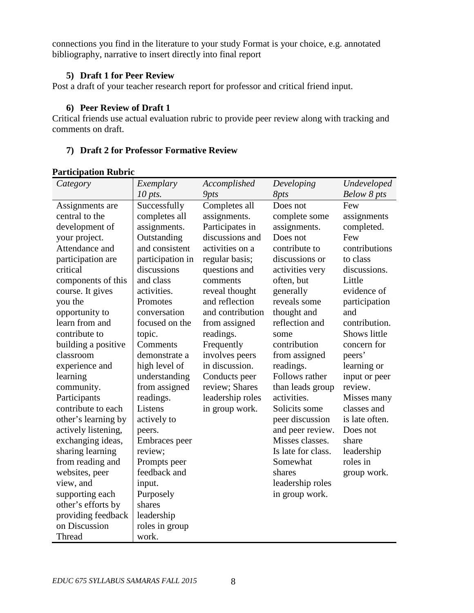connections you find in the literature to your study Format is your choice, e.g. annotated bibliography, narrative to insert directly into final report

### **5) Draft 1 for Peer Review**

Post a draft of your teacher research report for professor and critical friend input.

## **6) Peer Review of Draft 1**

Critical friends use actual evaluation rubric to provide peer review along with tracking and comments on draft.

## **7) Draft 2 for Professor Formative Review**

| Category            | Exemplary        | Accomplished     | Developing         | Undeveloped        |
|---------------------|------------------|------------------|--------------------|--------------------|
|                     | $10$ pts.        | 9pts             | 8pts               | <b>Below 8 pts</b> |
| Assignments are     | Successfully     | Completes all    | Does not           | Few                |
| central to the      | completes all    | assignments.     | complete some      | assignments        |
| development of      | assignments.     | Participates in  | assignments.       | completed.         |
| your project.       | Outstanding      | discussions and  | Does not           | Few                |
| Attendance and      | and consistent   | activities on a  | contribute to      | contributions      |
| participation are   | participation in | regular basis;   | discussions or     | to class           |
| critical            | discussions      | questions and    | activities very    | discussions.       |
| components of this  | and class        | comments         | often, but         | Little             |
| course. It gives    | activities.      | reveal thought   | generally          | evidence of        |
| you the             | Promotes         | and reflection   | reveals some       | participation      |
| opportunity to      | conversation     | and contribution | thought and        | and                |
| learn from and      | focused on the   | from assigned    | reflection and     | contribution.      |
| contribute to       | topic.           | readings.        | some               | Shows little       |
| building a positive | Comments         | Frequently       | contribution       | concern for        |
| classroom           | demonstrate a    | involves peers   | from assigned      | peers'             |
| experience and      | high level of    | in discussion.   | readings.          | learning or        |
| learning            | understanding    | Conducts peer    | Follows rather     | input or peer      |
| community.          | from assigned    | review; Shares   | than leads group   | review.            |
| Participants        | readings.        | leadership roles | activities.        | Misses many        |
| contribute to each  | Listens          | in group work.   | Solicits some      | classes and        |
| other's learning by | actively to      |                  | peer discussion    | is late often.     |
| actively listening, | peers.           |                  | and peer review.   | Does not           |
| exchanging ideas,   | Embraces peer    |                  | Misses classes.    | share              |
| sharing learning    | review;          |                  | Is late for class. | leadership         |
| from reading and    | Prompts peer     |                  | Somewhat           | roles in           |
| websites, peer      | feedback and     |                  | shares             | group work.        |
| view, and           | input.           |                  | leadership roles   |                    |
| supporting each     | Purposely        |                  | in group work.     |                    |
| other's efforts by  | shares           |                  |                    |                    |
| providing feedback  | leadership       |                  |                    |                    |
| on Discussion       | roles in group   |                  |                    |                    |
| Thread              | work.            |                  |                    |                    |

#### **Participation Rubric**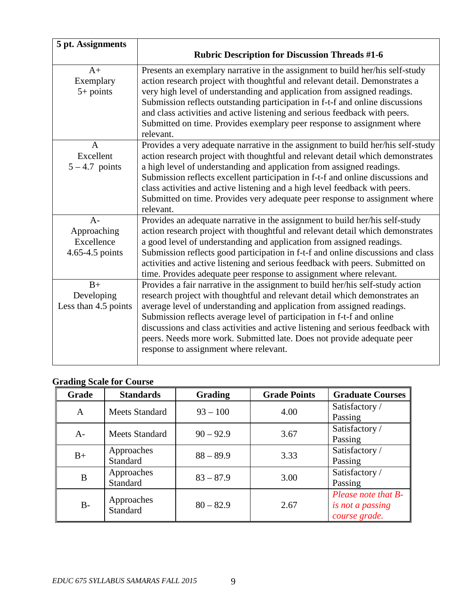| 5 pt. Assignments         |                                                                                                                                                         |
|---------------------------|---------------------------------------------------------------------------------------------------------------------------------------------------------|
|                           | <b>Rubric Description for Discussion Threads #1-6</b>                                                                                                   |
| $A+$                      | Presents an exemplary narrative in the assignment to build her/his self-study                                                                           |
| Exemplary                 | action research project with thoughtful and relevant detail. Demonstrates a                                                                             |
| $5+$ points               | very high level of understanding and application from assigned readings.                                                                                |
|                           | Submission reflects outstanding participation in f-t-f and online discussions                                                                           |
|                           | and class activities and active listening and serious feedback with peers.                                                                              |
|                           | Submitted on time. Provides exemplary peer response to assignment where                                                                                 |
|                           | relevant.                                                                                                                                               |
| $\mathbf{A}$<br>Excellent | Provides a very adequate narrative in the assignment to build her/his self-study                                                                        |
| $5 - 4.7$ points          | action research project with thoughtful and relevant detail which demonstrates<br>a high level of understanding and application from assigned readings. |
|                           | Submission reflects excellent participation in f-t-f and online discussions and                                                                         |
|                           | class activities and active listening and a high level feedback with peers.                                                                             |
|                           | Submitted on time. Provides very adequate peer response to assignment where                                                                             |
|                           | relevant.                                                                                                                                               |
| $A -$                     | Provides an adequate narrative in the assignment to build her/his self-study                                                                            |
| Approaching               | action research project with thoughtful and relevant detail which demonstrates                                                                          |
| Excellence                | a good level of understanding and application from assigned readings.                                                                                   |
| 4.65-4.5 points           | Submission reflects good participation in f-t-f and online discussions and class                                                                        |
|                           | activities and active listening and serious feedback with peers. Submitted on                                                                           |
|                           | time. Provides adequate peer response to assignment where relevant.                                                                                     |
| $B+$                      | Provides a fair narrative in the assignment to build her/his self-study action                                                                          |
| Developing                | research project with thoughtful and relevant detail which demonstrates an                                                                              |
| Less than 4.5 points      | average level of understanding and application from assigned readings.<br>Submission reflects average level of participation in f-t-f and online        |
|                           | discussions and class activities and active listening and serious feedback with                                                                         |
|                           | peers. Needs more work. Submitted late. Does not provide adequate peer                                                                                  |
|                           | response to assignment where relevant.                                                                                                                  |
|                           |                                                                                                                                                         |

# **Grading Scale for Course**

| Grade | <b>Standards</b>              | <b>Grading</b> | <b>Grade Points</b> | <b>Graduate Courses</b> |
|-------|-------------------------------|----------------|---------------------|-------------------------|
| A     | <b>Meets Standard</b>         | $93 - 100$     | 4.00                | Satisfactory /          |
|       |                               |                |                     | Passing                 |
| $A-$  | <b>Meets Standard</b>         | $90 - 92.9$    | 3.67                | Satisfactory /          |
|       |                               |                |                     | Passing                 |
| $B+$  | Approaches<br>Standard        | $88 - 89.9$    | 3.33                | Satisfactory /          |
|       |                               |                |                     | Passing                 |
|       | Approaches<br>Standard        | $83 - 87.9$    | 3.00                | Satisfactory /          |
| B     |                               |                |                     | Passing                 |
|       |                               |                |                     | Please note that B-     |
| $B-$  | Approaches<br><b>Standard</b> | $80 - 82.9$    | 2.67                | is not a passing        |
|       |                               |                |                     | course grade.           |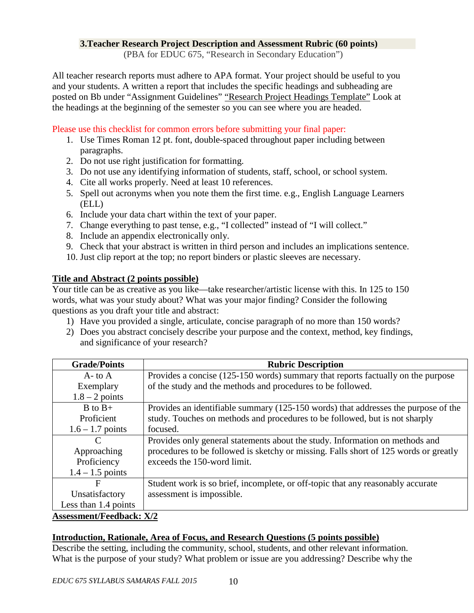#### **3.Teacher Research Project Description and Assessment Rubric (60 points)**

(PBA for EDUC 675, "Research in Secondary Education")

All teacher research reports must adhere to APA format. Your project should be useful to you and your students. A written a report that includes the specific headings and subheading are posted on Bb under "Assignment Guidelines" "Research Project Headings Template" Look at the headings at the beginning of the semester so you can see where you are headed.

### Please use this checklist for common errors before submitting your final paper:

- 1. Use Times Roman 12 pt. font, double-spaced throughout paper including between paragraphs.
- 2. Do not use right justification for formatting.
- 3. Do not use any identifying information of students, staff, school, or school system.
- 4. Cite all works properly. Need at least 10 references.
- 5. Spell out acronyms when you note them the first time. e.g., English Language Learners (ELL)
- 6. Include your data chart within the text of your paper.
- 7. Change everything to past tense, e.g., "I collected" instead of "I will collect."
- 8. Include an appendix electronically only.
- 9. Check that your abstract is written in third person and includes an implications sentence.
- 10. Just clip report at the top; no report binders or plastic sleeves are necessary.

## **Title and Abstract (2 points possible)**

Your title can be as creative as you like—take researcher/artistic license with this. In 125 to 150 words, what was your study about? What was your major finding? Consider the following questions as you draft your title and abstract:

- 1) Have you provided a single, articulate, concise paragraph of no more than 150 words?
- 2) Does you abstract concisely describe your purpose and the context, method, key findings, and significance of your research?

| <b>Grade/Points</b>             | <b>Rubric Description</b>                                                            |
|---------------------------------|--------------------------------------------------------------------------------------|
| $A$ - to $A$                    | Provides a concise (125-150 words) summary that reports factually on the purpose     |
| Exemplary                       | of the study and the methods and procedures to be followed.                          |
| $1.8 - 2$ points                |                                                                                      |
| $B$ to $B+$                     | Provides an identifiable summary (125-150 words) that addresses the purpose of the   |
| Proficient                      | study. Touches on methods and procedures to be followed, but is not sharply          |
| $1.6 - 1.7$ points              | focused.                                                                             |
| C                               | Provides only general statements about the study. Information on methods and         |
| Approaching                     | procedures to be followed is sketchy or missing. Falls short of 125 words or greatly |
| Proficiency                     | exceeds the 150-word limit.                                                          |
| $1.4 - 1.5$ points              |                                                                                      |
| F                               | Student work is so brief, incomplete, or off-topic that any reasonably accurate      |
| Unsatisfactory                  | assessment is impossible.                                                            |
| Less than 1.4 points            |                                                                                      |
| <b>Assessment/Feedback: X/2</b> |                                                                                      |

## **Introduction, Rationale, Area of Focus, and Research Questions (5 points possible)**

Describe the setting, including the community, school, students, and other relevant information. What is the purpose of your study? What problem or issue are you addressing? Describe why the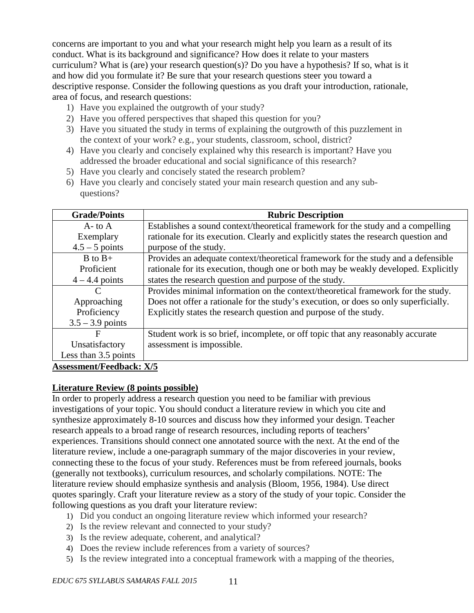concerns are important to you and what your research might help you learn as a result of its conduct. What is its background and significance? How does it relate to your masters curriculum? What is (are) your research question(s)? Do you have a hypothesis? If so, what is it and how did you formulate it? Be sure that your research questions steer you toward a descriptive response. Consider the following questions as you draft your introduction, rationale, area of focus, and research questions:

- 1) Have you explained the outgrowth of your study?
- 2) Have you offered perspectives that shaped this question for you?
- 3) Have you situated the study in terms of explaining the outgrowth of this puzzlement in the context of your work? e.g., your students, classroom, school, district?
- 4) Have you clearly and concisely explained why this research is important? Have you addressed the broader educational and social significance of this research?
- 5) Have you clearly and concisely stated the research problem?
- 6) Have you clearly and concisely stated your main research question and any subquestions?

| <b>Grade/Points</b>                                                                                                                                                                                                                                                                                                                | <b>Rubric Description</b>                                                            |
|------------------------------------------------------------------------------------------------------------------------------------------------------------------------------------------------------------------------------------------------------------------------------------------------------------------------------------|--------------------------------------------------------------------------------------|
| $A$ - to $A$                                                                                                                                                                                                                                                                                                                       | Establishes a sound context/theoretical framework for the study and a compelling     |
| Exemplary                                                                                                                                                                                                                                                                                                                          | rationale for its execution. Clearly and explicitly states the research question and |
| $4.5 - 5$ points                                                                                                                                                                                                                                                                                                                   | purpose of the study.                                                                |
| $B$ to $B+$                                                                                                                                                                                                                                                                                                                        | Provides an adequate context/theoretical framework for the study and a defensible    |
| Proficient                                                                                                                                                                                                                                                                                                                         | rationale for its execution, though one or both may be weakly developed. Explicitly  |
| $4 - 4.4$ points                                                                                                                                                                                                                                                                                                                   | states the research question and purpose of the study.                               |
|                                                                                                                                                                                                                                                                                                                                    | Provides minimal information on the context/theoretical framework for the study.     |
| Approaching                                                                                                                                                                                                                                                                                                                        | Does not offer a rationale for the study's execution, or does so only superficially. |
| Proficiency                                                                                                                                                                                                                                                                                                                        | Explicitly states the research question and purpose of the study.                    |
| $3.5 - 3.9$ points                                                                                                                                                                                                                                                                                                                 |                                                                                      |
| F                                                                                                                                                                                                                                                                                                                                  | Student work is so brief, incomplete, or off topic that any reasonably accurate      |
| Unsatisfactory                                                                                                                                                                                                                                                                                                                     | assessment is impossible.                                                            |
| Less than 3.5 points                                                                                                                                                                                                                                                                                                               |                                                                                      |
| $\mathbf{L}$ $\mathbf{L}$ $\mathbf{L}$ $\mathbf{L}$ $\mathbf{L}$ $\mathbf{L}$ $\mathbf{L}$ $\mathbf{L}$ $\mathbf{L}$ $\mathbf{L}$ $\mathbf{L}$ $\mathbf{L}$ $\mathbf{L}$ $\mathbf{L}$ $\mathbf{L}$ $\mathbf{L}$ $\mathbf{L}$ $\mathbf{L}$ $\mathbf{L}$ $\mathbf{L}$ $\mathbf{L}$ $\mathbf{L}$ $\mathbf{L}$ $\mathbf{L}$ $\mathbf{$ |                                                                                      |

#### **Assessment/Feedback: X/5**

## **Literature Review (8 points possible)**

In order to properly address a research question you need to be familiar with previous investigations of your topic. You should conduct a literature review in which you cite and synthesize approximately 8-10 sources and discuss how they informed your design. Teacher research appeals to a broad range of research resources, including reports of teachers' experiences. Transitions should connect one annotated source with the next. At the end of the literature review, include a one-paragraph summary of the major discoveries in your review, connecting these to the focus of your study. References must be from refereed journals, books (generally not textbooks), curriculum resources, and scholarly compilations. NOTE: The literature review should emphasize synthesis and analysis (Bloom, 1956, 1984). Use direct quotes sparingly. Craft your literature review as a story of the study of your topic. Consider the following questions as you draft your literature review:

- 1) Did you conduct an ongoing literature review which informed your research?
- 2) Is the review relevant and connected to your study?
- 3) Is the review adequate, coherent, and analytical?
- 4) Does the review include references from a variety of sources?
- 5) Is the review integrated into a conceptual framework with a mapping of the theories,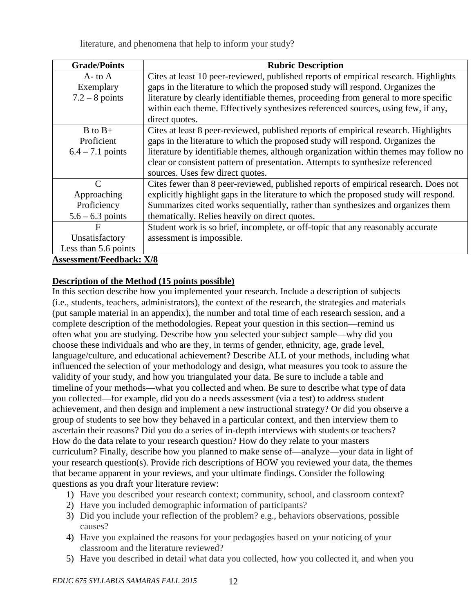literature, and phenomena that help to inform your study?

| <b>Grade/Points</b>             | <b>Rubric Description</b>                                                             |
|---------------------------------|---------------------------------------------------------------------------------------|
| $A$ - to $A$                    | Cites at least 10 peer-reviewed, published reports of empirical research. Highlights  |
| Exemplary                       | gaps in the literature to which the proposed study will respond. Organizes the        |
| $7.2 - 8$ points                | literature by clearly identifiable themes, proceeding from general to more specific   |
|                                 | within each theme. Effectively synthesizes referenced sources, using few, if any,     |
|                                 | direct quotes.                                                                        |
| $B$ to $B+$                     | Cites at least 8 peer-reviewed, published reports of empirical research. Highlights   |
| Proficient                      | gaps in the literature to which the proposed study will respond. Organizes the        |
| $6.4 - 7.1$ points              | literature by identifiable themes, although organization within themes may follow no  |
|                                 | clear or consistent pattern of presentation. Attempts to synthesize referenced        |
|                                 | sources. Uses few direct quotes.                                                      |
| C                               | Cites fewer than 8 peer-reviewed, published reports of empirical research. Does not   |
| Approaching                     | explicitly highlight gaps in the literature to which the proposed study will respond. |
| Proficiency                     | Summarizes cited works sequentially, rather than synthesizes and organizes them       |
| $5.6 - 6.3$ points              | thematically. Relies heavily on direct quotes.                                        |
| $\mathbf F$                     | Student work is so brief, incomplete, or off-topic that any reasonably accurate       |
| Unsatisfactory                  | assessment is impossible.                                                             |
| Less than 5.6 points            |                                                                                       |
| <b>Assessment/Feedback: X/8</b> |                                                                                       |

## **Description of the Method (15 points possible)**

In this section describe how you implemented your research. Include a description of subjects (i.e., students, teachers, administrators), the context of the research, the strategies and materials (put sample material in an appendix), the number and total time of each research session, and a complete description of the methodologies. Repeat your question in this section—remind us often what you are studying. Describe how you selected your subject sample—why did you choose these individuals and who are they, in terms of gender, ethnicity, age, grade level, language/culture, and educational achievement? Describe ALL of your methods, including what influenced the selection of your methodology and design, what measures you took to assure the validity of your study, and how you triangulated your data. Be sure to include a table and timeline of your methods—what you collected and when. Be sure to describe what type of data you collected—for example, did you do a needs assessment (via a test) to address student achievement, and then design and implement a new instructional strategy? Or did you observe a group of students to see how they behaved in a particular context, and then interview them to ascertain their reasons? Did you do a series of in-depth interviews with students or teachers? How do the data relate to your research question? How do they relate to your masters curriculum? Finally, describe how you planned to make sense of—analyze—your data in light of your research question(s). Provide rich descriptions of HOW you reviewed your data, the themes that became apparent in your reviews, and your ultimate findings. Consider the following questions as you draft your literature review:

- 1) Have you described your research context; community, school, and classroom context?
- 2) Have you included demographic information of participants?
- 3) Did you include your reflection of the problem? e.g., behaviors observations, possible causes?
- 4) Have you explained the reasons for your pedagogies based on your noticing of your classroom and the literature reviewed?
- 5) Have you described in detail what data you collected, how you collected it, and when you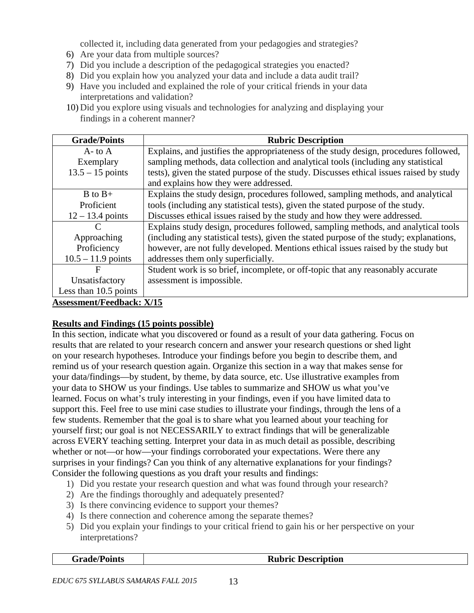collected it, including data generated from your pedagogies and strategies?

- 6) Are your data from multiple sources?
- 7) Did you include a description of the pedagogical strategies you enacted?
- 8) Did you explain how you analyzed your data and include a data audit trail?
- 9) Have you included and explained the role of your critical friends in your data interpretations and validation?
- 10) Did you explore using visuals and technologies for analyzing and displaying your findings in a coherent manner?

| <b>Grade/Points</b>              | <b>Rubric Description</b>                                                               |
|----------------------------------|-----------------------------------------------------------------------------------------|
| $A$ - to $A$                     | Explains, and justifies the appropriateness of the study design, procedures followed,   |
| Exemplary                        | sampling methods, data collection and analytical tools (including any statistical       |
| $13.5 - 15$ points               | tests), given the stated purpose of the study. Discusses ethical issues raised by study |
|                                  | and explains how they were addressed.                                                   |
| $B$ to $B+$                      | Explains the study design, procedures followed, sampling methods, and analytical        |
| Proficient                       | tools (including any statistical tests), given the stated purpose of the study.         |
| $12 - 13.4$ points               | Discusses ethical issues raised by the study and how they were addressed.               |
| C                                | Explains study design, procedures followed, sampling methods, and analytical tools      |
| Approaching                      | (including any statistical tests), given the stated purpose of the study; explanations, |
| Proficiency                      | however, are not fully developed. Mentions ethical issues raised by the study but       |
| $10.5 - 11.9$ points             | addresses them only superficially.                                                      |
| $\mathbf F$                      | Student work is so brief, incomplete, or off-topic that any reasonably accurate         |
| Unsatisfactory                   | assessment is impossible.                                                               |
| Less than $10.5$ points          |                                                                                         |
| <b>Assessment/Feedback: X/15</b> |                                                                                         |

## **Results and Findings (15 points possible)**

In this section, indicate what you discovered or found as a result of your data gathering. Focus on results that are related to your research concern and answer your research questions or shed light on your research hypotheses. Introduce your findings before you begin to describe them, and remind us of your research question again. Organize this section in a way that makes sense for your data/findings—by student, by theme, by data source, etc. Use illustrative examples from your data to SHOW us your findings. Use tables to summarize and SHOW us what you've learned. Focus on what's truly interesting in your findings, even if you have limited data to support this. Feel free to use mini case studies to illustrate your findings, through the lens of a few students. Remember that the goal is to share what you learned about your teaching for yourself first; our goal is not NECESSARILY to extract findings that will be generalizable across EVERY teaching setting. Interpret your data in as much detail as possible, describing whether or not—or how—your findings corroborated your expectations. Were there any surprises in your findings? Can you think of any alternative explanations for your findings? Consider the following questions as you draft your results and findings:

- 1) Did you restate your research question and what was found through your research?
- 2) Are the findings thoroughly and adequately presented?
- 3) Is there convincing evidence to support your themes?
- 4) Is there connection and coherence among the separate themes?
- 5) Did you explain your findings to your critical friend to gain his or her perspective on your interpretations?

## **Rubric Description**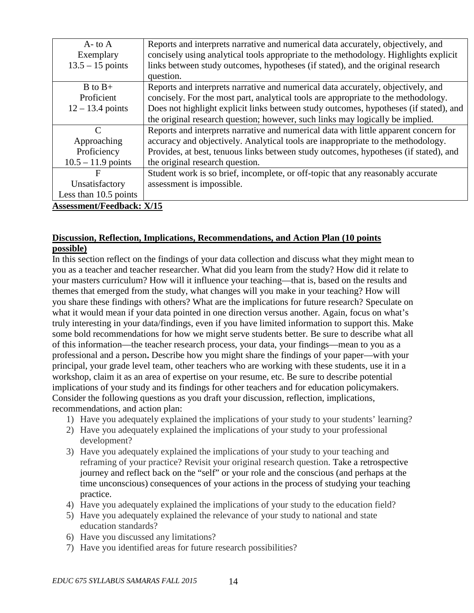| $A$ - to $A$                     | Reports and interprets narrative and numerical data accurately, objectively, and      |
|----------------------------------|---------------------------------------------------------------------------------------|
| Exemplary                        | concisely using analytical tools appropriate to the methodology. Highlights explicit  |
| $13.5 - 15$ points               | links between study outcomes, hypotheses (if stated), and the original research       |
|                                  | question.                                                                             |
| $B$ to $B+$                      | Reports and interprets narrative and numerical data accurately, objectively, and      |
| Proficient                       | concisely. For the most part, analytical tools are appropriate to the methodology.    |
| $12 - 13.4$ points               | Does not highlight explicit links between study outcomes, hypotheses (if stated), and |
|                                  | the original research question; however, such links may logically be implied.         |
| C                                | Reports and interprets narrative and numerical data with little apparent concern for  |
| Approaching                      | accuracy and objectively. Analytical tools are inappropriate to the methodology.      |
| Proficiency                      | Provides, at best, tenuous links between study outcomes, hypotheses (if stated), and  |
| $10.5 - 11.9$ points             | the original research question.                                                       |
| $\mathbf F$                      | Student work is so brief, incomplete, or off-topic that any reasonably accurate       |
| Unsatisfactory                   | assessment is impossible.                                                             |
| Less than $10.5$ points          |                                                                                       |
| <b>Assessment/Feedback: X/15</b> |                                                                                       |

#### **Discussion, Reflection, Implications, Recommendations, and Action Plan (10 points possible)**

In this section reflect on the findings of your data collection and discuss what they might mean to you as a teacher and teacher researcher. What did you learn from the study? How did it relate to your masters curriculum? How will it influence your teaching—that is, based on the results and themes that emerged from the study, what changes will you make in your teaching? How will you share these findings with others? What are the implications for future research? Speculate on what it would mean if your data pointed in one direction versus another. Again, focus on what's truly interesting in your data/findings, even if you have limited information to support this. Make some bold recommendations for how we might serve students better. Be sure to describe what all of this information—the teacher research process, your data, your findings—mean to you as a professional and a person**.** Describe how you might share the findings of your paper—with your principal, your grade level team, other teachers who are working with these students, use it in a workshop, claim it as an area of expertise on your resume, etc. Be sure to describe potential implications of your study and its findings for other teachers and for education policymakers. Consider the following questions as you draft your discussion, reflection, implications, recommendations, and action plan:

- 1) Have you adequately explained the implications of your study to your students' learning?
- 2) Have you adequately explained the implications of your study to your professional development?
- 3) Have you adequately explained the implications of your study to your teaching and reframing of your practice? Revisit your original research question. Take a retrospective journey and reflect back on the "self" or your role and the conscious (and perhaps at the time unconscious) consequences of your actions in the process of studying your teaching practice.
- 4) Have you adequately explained the implications of your study to the education field?
- 5) Have you adequately explained the relevance of your study to national and state education standards?
- 6) Have you discussed any limitations?
- 7) Have you identified areas for future research possibilities?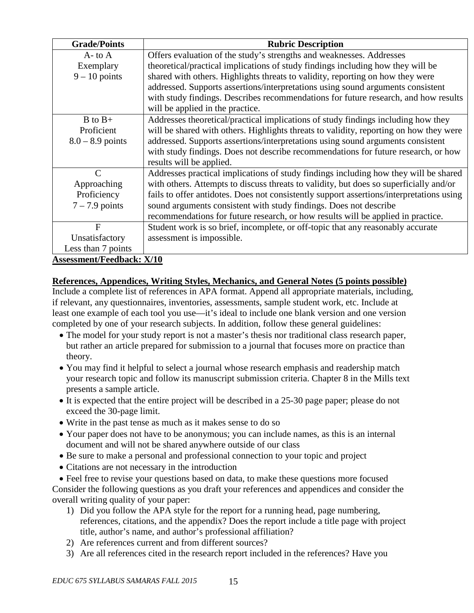| <b>Grade/Points</b>                               | <b>Rubric Description</b>                                                                |
|---------------------------------------------------|------------------------------------------------------------------------------------------|
| $A$ - to $A$                                      | Offers evaluation of the study's strengths and weaknesses. Addresses                     |
| Exemplary                                         | theoretical/practical implications of study findings including how they will be          |
| $9 - 10$ points                                   | shared with others. Highlights threats to validity, reporting on how they were           |
|                                                   | addressed. Supports assertions/interpretations using sound arguments consistent          |
|                                                   | with study findings. Describes recommendations for future research, and how results      |
|                                                   | will be applied in the practice.                                                         |
| $B$ to $B+$                                       | Addresses theoretical/practical implications of study findings including how they        |
| Proficient                                        | will be shared with others. Highlights threats to validity, reporting on how they were   |
| $8.0 - 8.9$ points                                | addressed. Supports assertions/interpretations using sound arguments consistent          |
|                                                   | with study findings. Does not describe recommendations for future research, or how       |
|                                                   | results will be applied.                                                                 |
| $\mathcal{C}$                                     | Addresses practical implications of study findings including how they will be shared     |
| Approaching                                       | with others. Attempts to discuss threats to validity, but does so superficially and/or   |
| Proficiency                                       | fails to offer antidotes. Does not consistently support assertions/interpretations using |
| $7 - 7.9$ points                                  | sound arguments consistent with study findings. Does not describe                        |
|                                                   | recommendations for future research, or how results will be applied in practice.         |
| $F_{\rm}$                                         | Student work is so brief, incomplete, or off-topic that any reasonably accurate          |
| Unsatisfactory                                    | assessment is impossible.                                                                |
| Less than 7 points                                |                                                                                          |
| $\Lambda$ gaagamant $\Gamma$ aadhaal $\cdot$ V/10 |                                                                                          |

**Assessment/Feedback: X/10**

## **References, Appendices, Writing Styles, Mechanics, and General Notes (5 points possible)**

Include a complete list of references in APA format. Append all appropriate materials, including, if relevant, any questionnaires, inventories, assessments, sample student work, etc. Include at least one example of each tool you use—it's ideal to include one blank version and one version completed by one of your research subjects. In addition, follow these general guidelines:

- The model for your study report is not a master's thesis nor traditional class research paper, but rather an article prepared for submission to a journal that focuses more on practice than theory.
- You may find it helpful to select a journal whose research emphasis and readership match your research topic and follow its manuscript submission criteria. Chapter 8 in the Mills text presents a sample article.
- It is expected that the entire project will be described in a 25-30 page paper; please do not exceed the 30-page limit.
- Write in the past tense as much as it makes sense to do so
- Your paper does not have to be anonymous; you can include names, as this is an internal document and will not be shared anywhere outside of our class
- Be sure to make a personal and professional connection to your topic and project
- Citations are not necessary in the introduction

• Feel free to revise your questions based on data, to make these questions more focused Consider the following questions as you draft your references and appendices and consider the overall writing quality of your paper:

- 1) Did you follow the APA style for the report for a running head, page numbering, references, citations, and the appendix? Does the report include a title page with project title, author's name, and author's professional affiliation?
- 2) Are references current and from different sources?
- 3) Are all references cited in the research report included in the references? Have you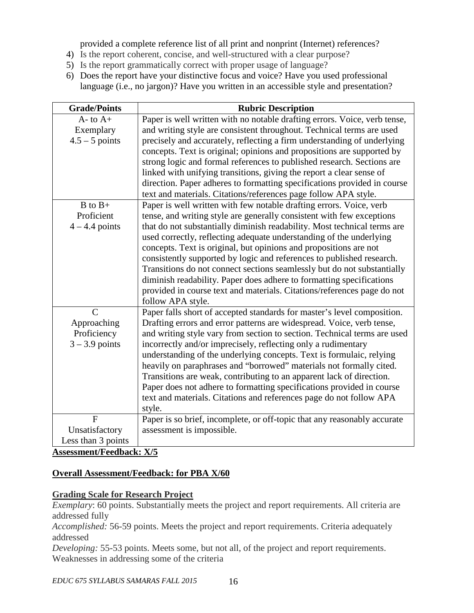provided a complete reference list of all print and nonprint (Internet) references?

- 4) Is the report coherent, concise, and well-structured with a clear purpose?
- 5) Is the report grammatically correct with proper usage of language?
- 6) Does the report have your distinctive focus and voice? Have you used professional language (i.e., no jargon)? Have you written in an accessible style and presentation?

| <b>Grade/Points</b>        | <b>Rubric Description</b>                                                 |
|----------------------------|---------------------------------------------------------------------------|
| $A$ - to $A$ +             | Paper is well written with no notable drafting errors. Voice, verb tense, |
| Exemplary                  | and writing style are consistent throughout. Technical terms are used     |
| $4.5 - 5$ points           | precisely and accurately, reflecting a firm understanding of underlying   |
|                            | concepts. Text is original; opinions and propositions are supported by    |
|                            | strong logic and formal references to published research. Sections are    |
|                            | linked with unifying transitions, giving the report a clear sense of      |
|                            | direction. Paper adheres to formatting specifications provided in course  |
|                            | text and materials. Citations/references page follow APA style.           |
| $B$ to $B+$                | Paper is well written with few notable drafting errors. Voice, verb       |
| Proficient                 | tense, and writing style are generally consistent with few exceptions     |
| $4 - 4.4$ points           | that do not substantially diminish readability. Most technical terms are  |
|                            | used correctly, reflecting adequate understanding of the underlying       |
|                            | concepts. Text is original, but opinions and propositions are not         |
|                            | consistently supported by logic and references to published research.     |
|                            | Transitions do not connect sections seamlessly but do not substantially   |
|                            | diminish readability. Paper does adhere to formatting specifications      |
|                            | provided in course text and materials. Citations/references page do not   |
|                            | follow APA style.                                                         |
| $\mathsf{C}$               | Paper falls short of accepted standards for master's level composition.   |
| Approaching                | Drafting errors and error patterns are widespread. Voice, verb tense,     |
| Proficiency                | and writing style vary from section to section. Technical terms are used  |
| $3 - 3.9$ points           | incorrectly and/or imprecisely, reflecting only a rudimentary             |
|                            | understanding of the underlying concepts. Text is formulaic, relying      |
|                            | heavily on paraphrases and "borrowed" materials not formally cited.       |
|                            | Transitions are weak, contributing to an apparent lack of direction.      |
|                            | Paper does not adhere to formatting specifications provided in course     |
|                            | text and materials. Citations and references page do not follow APA       |
|                            | style.                                                                    |
| $\overline{F}$             | Paper is so brief, incomplete, or off-topic that any reasonably accurate  |
| Unsatisfactory             | assessment is impossible.                                                 |
| Less than 3 points<br>- 77 | $\mathbf{v}$ $\mathbf{r}$                                                 |

**Assessment/Feedback: X/5**

## **Overall Assessment/Feedback: for PBA X/60**

## **Grading Scale for Research Project**

*Exemplary*: 60 points. Substantially meets the project and report requirements. All criteria are addressed fully

*Accomplished:* 56-59 points. Meets the project and report requirements. Criteria adequately addressed

*Developing:* 55-53 points. Meets some, but not all, of the project and report requirements. Weaknesses in addressing some of the criteria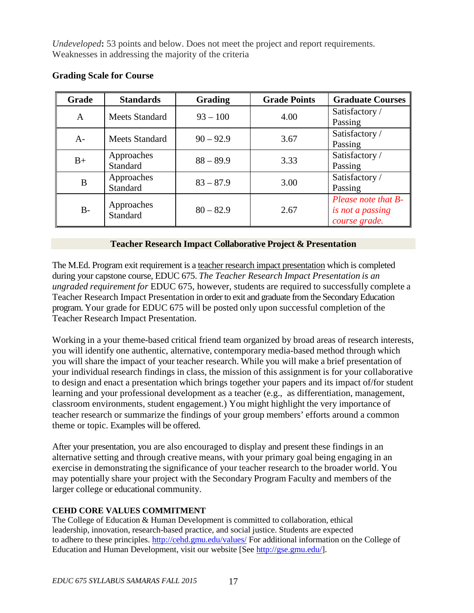*Undeveloped***:** 53 points and below. Does not meet the project and report requirements. Weaknesses in addressing the majority of the criteria

| Grade | <b>Standards</b>       | <b>Grading</b> | <b>Grade Points</b> | <b>Graduate Courses</b> |
|-------|------------------------|----------------|---------------------|-------------------------|
| A     | <b>Meets Standard</b>  | $93 - 100$     | 4.00                | Satisfactory /          |
|       |                        |                |                     | Passing                 |
| $A-$  | <b>Meets Standard</b>  | $90 - 92.9$    | 3.67                | Satisfactory /          |
|       |                        |                |                     | Passing                 |
| $B+$  | Approaches<br>Standard | $88 - 89.9$    | 3.33                | Satisfactory /          |
|       |                        |                |                     | Passing                 |
| B     | Approaches<br>Standard | $83 - 87.9$    | 3.00                | Satisfactory /          |
|       |                        |                |                     | Passing                 |
|       |                        |                |                     | Please note that B-     |
| $B-$  | Approaches<br>Standard | $80 - 82.9$    | 2.67                | is not a passing        |
|       |                        |                |                     | course grade.           |

### **Grading Scale for Course**

#### **Teacher Research Impact Collaborative Project & Presentation**

The M.Ed. Program exit requirement is a teacher research impact presentation which is completed during your capstone course, EDUC 675. *The Teacher Research Impact Presentation is an ungraded requirement for* EDUC 675, however, students are required to successfully complete a Teacher Research Impact Presentation in order to exit and graduate from the Secondary Education program. Your grade for EDUC 675 will be posted only upon successful completion of the Teacher Research Impact Presentation.

Working in a your theme-based critical friend team organized by broad areas of research interests, you will identify one authentic, alternative, contemporary media-based method through which you will share the impact of your teacher research. While you will make a brief presentation of your individual research findings in class, the mission of this assignment is for your collaborative to design and enact a presentation which brings together your papers and its impact of/for student learning and your professional development as a teacher (e.g., as differentiation, management, classroom environments, student engagement.) You might highlight the very importance of teacher research or summarize the findings of your group members' efforts around a common theme or topic. Examples will be offered.

After your presentation, you are also encouraged to display and present these findings in an alternative setting and through creative means, with your primary goal being engaging in an exercise in demonstrating the significance of your teacher research to the broader world. You may potentially share your project with the Secondary Program Faculty and members of the larger college or educational community.

#### **CEHD CORE VALUES COMMITMENT**

The College of Education & Human Development is committed to collaboration, ethical leadership, innovation, research-based practice, and social justice. Students are expected to adhere to these principles.<http://cehd.gmu.edu/values/> For additional information on the College of Education and Human Development, visit our website [See [http://gse.gmu.edu/\]](http://gse.gmu.edu/).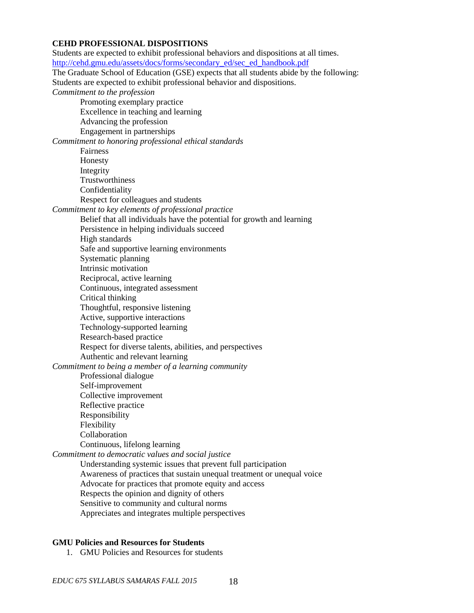#### **CEHD PROFESSIONAL DISPOSITIONS**

Students are expected to exhibit professional behaviors and dispositions at all times. [http://cehd.gmu.edu/assets/docs/forms/secondary\\_ed/sec\\_ed\\_handbook.pdf](http://cehd.gmu.edu/assets/docs/forms/secondary_ed/sec_ed_handbook.pdf) The Graduate School of Education (GSE) expects that all students abide by the following: Students are expected to exhibit professional behavior and dispositions. *Commitment to the profession* Promoting exemplary practice Excellence in teaching and learning Advancing the profession Engagement in partnerships *Commitment to honoring professional ethical standards* Fairness Honesty Integrity Trustworthiness Confidentiality Respect for colleagues and students *Commitment to key elements of professional practice* Belief that all individuals have the potential for growth and learning Persistence in helping individuals succeed High standards Safe and supportive learning environments Systematic planning Intrinsic motivation Reciprocal, active learning Continuous, integrated assessment Critical thinking Thoughtful, responsive listening Active, supportive interactions Technology-supported learning Research-based practice Respect for diverse talents, abilities, and perspectives Authentic and relevant learning *Commitment to being a member of a learning community* Professional dialogue Self-improvement Collective improvement Reflective practice Responsibility Flexibility Collaboration Continuous, lifelong learning *Commitment to democratic values and social justice* Understanding systemic issues that prevent full participation Awareness of practices that sustain unequal treatment or unequal voice Advocate for practices that promote equity and access Respects the opinion and dignity of others Sensitive to community and cultural norms Appreciates and integrates multiple perspectives

#### **GMU Policies and Resources for Students**

1. GMU Policies and Resources for students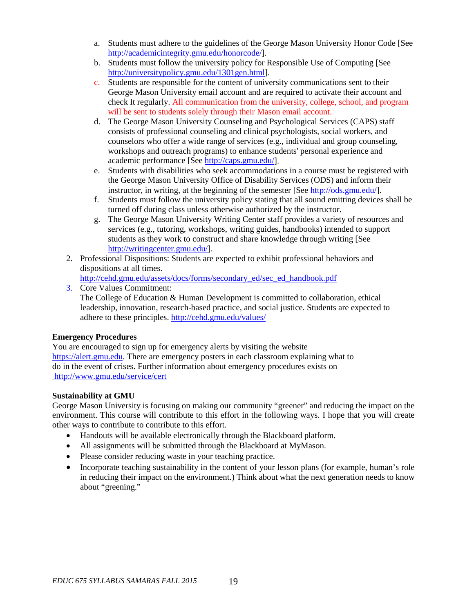- a. Students must adhere to the guidelines of the George Mason University Honor Code [See [http://academicintegrity.gmu.edu/honorcode/\]](http://academicintegrity.gmu.edu/honorcode/).
- b. Students must follow the university policy for Responsible Use of Computing [See [http://universitypolicy.gmu.edu/1301gen.html\]](http://universitypolicy.gmu.edu/1301gen.html).
- c. Students are responsible for the content of university communications sent to their George Mason University email account and are required to activate their account and check It regularly. All communication from the university, college, school, and program will be sent to students solely through their Mason email account.
- d. The George Mason University Counseling and Psychological Services (CAPS) staff consists of professional counseling and clinical psychologists, social workers, and counselors who offer a wide range of services (e.g., individual and group counseling, workshops and outreach programs) to enhance students' personal experience and academic performance [See [http://caps.gmu.edu/\]](http://caps.gmu.edu/).
- e. Students with disabilities who seek accommodations in a course must be registered with the George Mason University Office of Disability Services (ODS) and inform their instructor, in writing, at the beginning of the semester [See [http://ods.gmu.edu/\]](http://ods.gmu.edu/).
- f. Students must follow the university policy stating that all sound emitting devices shall be turned off during class unless otherwise authorized by the instructor.
- g. The George Mason University Writing Center staff provides a variety of resources and services (e.g., tutoring, workshops, writing guides, handbooks) intended to support students as they work to construct and share knowledge through writing [See [http://writingcenter.gmu.edu/\]](http://writingcenter.gmu.edu/).
- 2. Professional Dispositions: Students are expected to exhibit professional behaviors and dispositions at all times.

[http://cehd.gmu.edu/assets/docs/forms/secondary\\_ed/sec\\_ed\\_handbook.pdf](http://cehd.gmu.edu/assets/docs/forms/secondary_ed/sec_ed_handbook.pdf)

3. Core Values Commitment: The College of Education & Human Development is committed to collaboration, ethical leadership, innovation, research-based practice, and social justice. Students are expected to adhere to these principles.<http://cehd.gmu.edu/values/>

#### **Emergency Procedures**

You are encouraged to sign up for emergency alerts by visiting the website [https://alert.gmu.edu.](https://alert.gmu.edu/) There are emergency posters in each classroom explaining what to do in the event of crises. Further information about emergency procedures exists on <http://www.gmu.edu/service/cert>

#### **Sustainability at GMU**

George Mason University is focusing on making our community "greener" and reducing the impact on the environment. This course will contribute to this effort in the following ways. I hope that you will create other ways to contribute to contribute to this effort.

- Handouts will be available electronically through the Blackboard platform.
- All assignments will be submitted through the Blackboard at MyMason.
- Please consider reducing waste in your teaching practice.
- Incorporate teaching sustainability in the content of your lesson plans (for example, human's role in reducing their impact on the environment.) Think about what the next generation needs to know about "greening."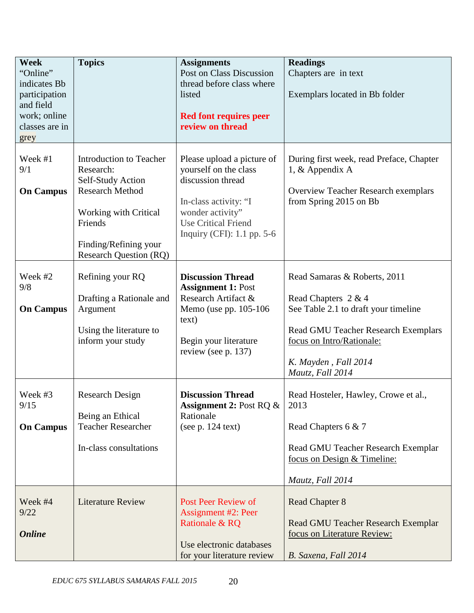| <b>Week</b><br>"Online"<br>indicates Bb<br>participation<br>and field<br>work; online<br>classes are in | <b>Topics</b>                                                                                                                                          | <b>Assignments</b><br>Post on Class Discussion<br>thread before class where<br>listed<br><b>Red font requires peer</b><br>review on thread                      | <b>Readings</b><br>Chapters are in text<br>Exemplars located in Bb folder                                                                                                                                   |
|---------------------------------------------------------------------------------------------------------|--------------------------------------------------------------------------------------------------------------------------------------------------------|-----------------------------------------------------------------------------------------------------------------------------------------------------------------|-------------------------------------------------------------------------------------------------------------------------------------------------------------------------------------------------------------|
| grey<br>Week #1                                                                                         | <b>Introduction to Teacher</b>                                                                                                                         | Please upload a picture of                                                                                                                                      | During first week, read Preface, Chapter                                                                                                                                                                    |
| 9/1<br><b>On Campus</b>                                                                                 | Research:<br>Self-Study Action<br><b>Research Method</b><br>Working with Critical<br>Friends<br>Finding/Refining your<br><b>Research Question (RQ)</b> | yourself on the class<br>discussion thread<br>In-class activity: "I<br>wonder activity"<br><b>Use Critical Friend</b><br>Inquiry (CFI): $1.1$ pp. $5-6$         | 1, & Appendix A<br><b>Overview Teacher Research exemplars</b><br>from Spring 2015 on Bb                                                                                                                     |
| Week #2<br>9/8<br><b>On Campus</b>                                                                      | Refining your RQ<br>Drafting a Rationale and<br>Argument<br>Using the literature to<br>inform your study                                               | <b>Discussion Thread</b><br><b>Assignment 1: Post</b><br>Research Artifact &<br>Memo (use pp. 105-106)<br>text)<br>Begin your literature<br>review (see p. 137) | Read Samaras & Roberts, 2011<br>Read Chapters 2 & 4<br>See Table 2.1 to draft your timeline<br>Read GMU Teacher Research Exemplars<br>focus on Intro/Rationale:<br>K. Mayden, Fall 2014<br>Mautz, Fall 2014 |
| Week #3<br>9/15<br><b>On Campus</b>                                                                     | <b>Research Design</b><br>Being an Ethical<br><b>Teacher Researcher</b>                                                                                | <b>Discussion Thread</b><br><b>Assignment 2:</b> Post RQ $\&$<br>Rationale<br>(see p. 124 text)                                                                 | Read Hosteler, Hawley, Crowe et al.,<br>2013<br>Read Chapters 6 & 7                                                                                                                                         |
|                                                                                                         | In-class consultations                                                                                                                                 |                                                                                                                                                                 | Read GMU Teacher Research Exemplar<br>focus on Design & Timeline:<br>Mautz, Fall 2014                                                                                                                       |
| Week #4<br>9/22<br><b>Online</b>                                                                        | <b>Literature Review</b>                                                                                                                               | <b>Post Peer Review of</b><br><b>Assignment #2: Peer</b><br>Rationale & RQ<br>Use electronic databases<br>for your literature review                            | <b>Read Chapter 8</b><br>Read GMU Teacher Research Exemplar<br>focus on Literature Review:<br>B. Saxena, Fall 2014                                                                                          |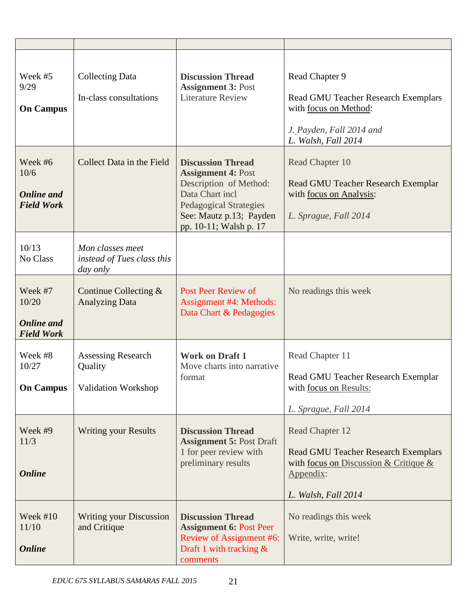| Week #5<br>9/29<br><b>On Campus</b>                        | <b>Collecting Data</b><br>In-class consultations            | <b>Discussion Thread</b><br><b>Assignment 3: Post</b><br><b>Literature Review</b>                                                                                                        | Read Chapter 9<br>Read GMU Teacher Research Exemplars<br>with focus on Method:<br>J. Payden, Fall 2014 and<br>L. Walsh, Fall 2014             |
|------------------------------------------------------------|-------------------------------------------------------------|------------------------------------------------------------------------------------------------------------------------------------------------------------------------------------------|-----------------------------------------------------------------------------------------------------------------------------------------------|
| Week #6<br>10/6<br><b>Online</b> and<br><b>Field Work</b>  | Collect Data in the Field                                   | <b>Discussion Thread</b><br><b>Assignment 4: Post</b><br>Description of Method:<br>Data Chart incl<br><b>Pedagogical Strategies</b><br>See: Mautz p.13; Payden<br>pp. 10-11; Walsh p. 17 | Read Chapter 10<br>Read GMU Teacher Research Exemplar<br>with focus on Analysis:<br>L. Sprague, Fall 2014                                     |
| 10/13<br>No Class                                          | Mon classes meet<br>instead of Tues class this<br>day only  |                                                                                                                                                                                          |                                                                                                                                               |
| Week #7<br>10/20<br><b>Online</b> and<br><b>Field Work</b> | Continue Collecting $&$<br><b>Analyzing Data</b>            | <b>Post Peer Review of</b><br>Assignment #4: Methods:<br>Data Chart & Pedagogies                                                                                                         | No readings this week                                                                                                                         |
| Week #8<br>10/27<br><b>On Campus</b>                       | <b>Assessing Research</b><br>Quality<br>Validation Workshop | <b>Work on Draft 1</b><br>Move charts into narrative<br>format                                                                                                                           | Read Chapter 11<br>Read GMU Teacher Research Exemplar<br>with focus on Results:<br>L. Sprague, Fall 2014                                      |
| Week #9<br>11/3<br><b>Online</b>                           | <b>Writing your Results</b>                                 | <b>Discussion Thread</b><br><b>Assignment 5: Post Draft</b><br>1 for peer review with<br>preliminary results                                                                             | Read Chapter 12<br><b>Read GMU Teacher Research Exemplars</b><br>with focus on Discussion & Critique $\&$<br>Appendix:<br>L. Walsh, Fall 2014 |
| Week $#10$<br>11/10<br><b>Online</b>                       | <b>Writing your Discussion</b><br>and Critique              | <b>Discussion Thread</b><br><b>Assignment 6: Post Peer</b><br>Review of Assignment #6:<br>Draft 1 with tracking $\&$<br>comments                                                         | No readings this week<br>Write, write, write!                                                                                                 |